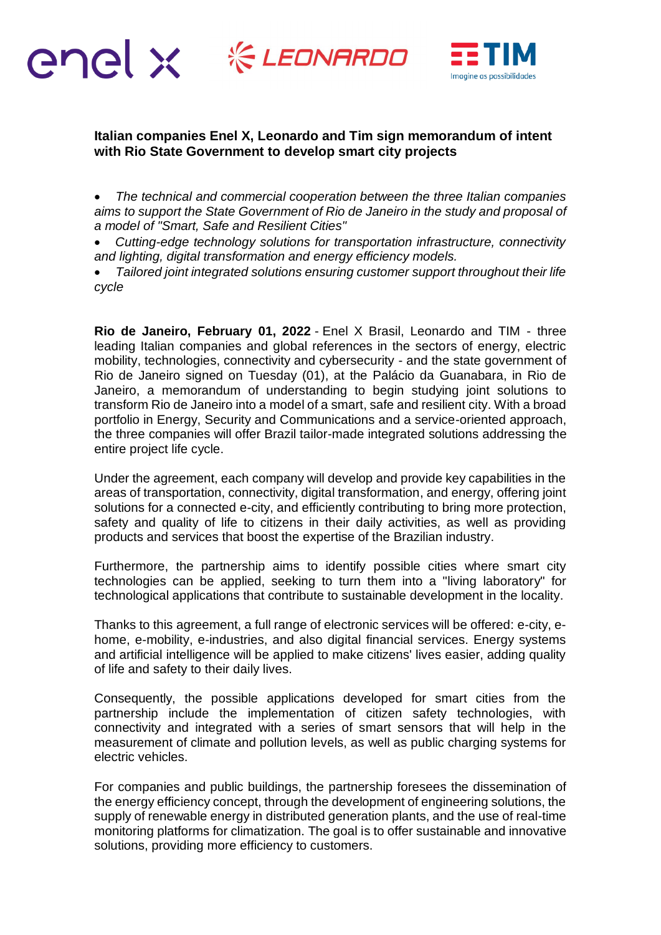



## **Italian companies Enel X, Leonardo and Tim sign memorandum of intent with Rio State Government to develop smart city projects**

 *The technical and commercial cooperation between the three Italian companies aims to support the State Government of Rio de Janeiro in the study and proposal of a model of "Smart, Safe and Resilient Cities"*

 *Cutting-edge technology solutions for transportation infrastructure, connectivity and lighting, digital transformation and energy efficiency models.*

 *Tailored joint integrated solutions ensuring customer support throughout their life cycle*

**Rio de Janeiro, February 01, 2022** - Enel X Brasil, Leonardo and TIM - three leading Italian companies and global references in the sectors of energy, electric mobility, technologies, connectivity and cybersecurity - and the state government of Rio de Janeiro signed on Tuesday (01), at the Palácio da Guanabara, in Rio de Janeiro, a memorandum of understanding to begin studying joint solutions to transform Rio de Janeiro into a model of a smart, safe and resilient city. With a broad portfolio in Energy, Security and Communications and a service-oriented approach, the three companies will offer Brazil tailor-made integrated solutions addressing the entire project life cycle.

Under the agreement, each company will develop and provide key capabilities in the areas of transportation, connectivity, digital transformation, and energy, offering joint solutions for a connected e-city, and efficiently contributing to bring more protection, safety and quality of life to citizens in their daily activities, as well as providing products and services that boost the expertise of the Brazilian industry.

Furthermore, the partnership aims to identify possible cities where smart city technologies can be applied, seeking to turn them into a "living laboratory" for technological applications that contribute to sustainable development in the locality.

Thanks to this agreement, a full range of electronic services will be offered: e-city, ehome, e-mobility, e-industries, and also digital financial services. Energy systems and artificial intelligence will be applied to make citizens' lives easier, adding quality of life and safety to their daily lives.

Consequently, the possible applications developed for smart cities from the partnership include the implementation of citizen safety technologies, with connectivity and integrated with a series of smart sensors that will help in the measurement of climate and pollution levels, as well as public charging systems for electric vehicles.

For companies and public buildings, the partnership foresees the dissemination of the energy efficiency concept, through the development of engineering solutions, the supply of renewable energy in distributed generation plants, and the use of real-time monitoring platforms for climatization. The goal is to offer sustainable and innovative solutions, providing more efficiency to customers.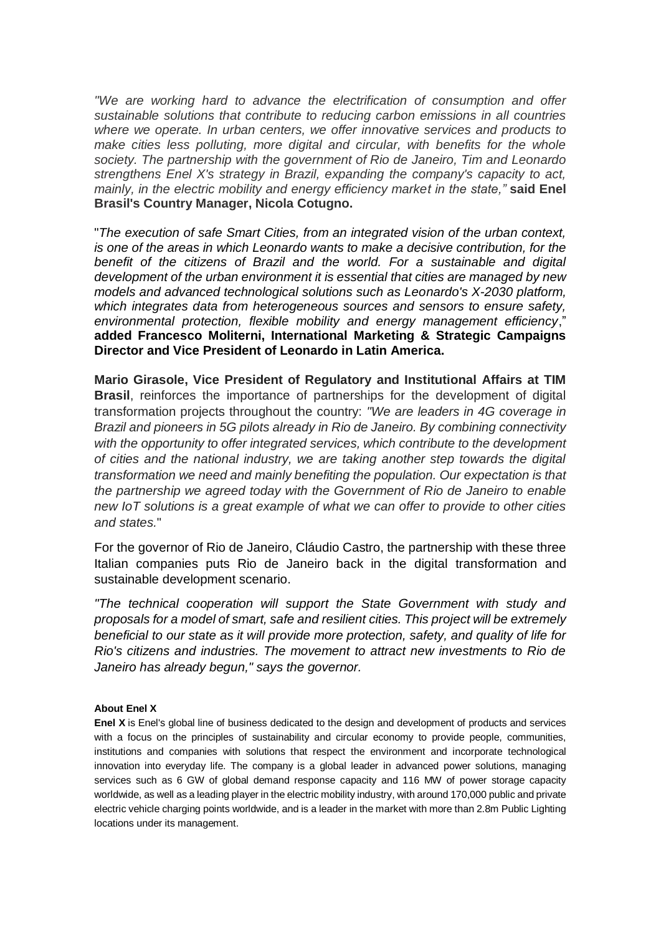*"We are working hard to advance the electrification of consumption and offer sustainable solutions that contribute to reducing carbon emissions in all countries where we operate. In urban centers, we offer innovative services and products to make cities less polluting, more digital and circular, with benefits for the whole society. The partnership with the government of Rio de Janeiro, Tim and Leonardo strengthens Enel X's strategy in Brazil, expanding the company's capacity to act, mainly, in the electric mobility and energy efficiency market in the state,"* **said Enel Brasil's Country Manager, Nicola Cotugno.**

"*The execution of safe Smart Cities, from an integrated vision of the urban context, is one of the areas in which Leonardo wants to make a decisive contribution, for the*  benefit of the citizens of Brazil and the world. For a sustainable and digital *development of the urban environment it is essential that cities are managed by new models and advanced technological solutions such as Leonardo's X-2030 platform, which integrates data from heterogeneous sources and sensors to ensure safety, environmental protection, flexible mobility and energy management efficiency*," **added Francesco Moliterni, International Marketing & Strategic Campaigns Director and Vice President of Leonardo in Latin America.**

**Mario Girasole, Vice President of Regulatory and Institutional Affairs at TIM Brasil**, reinforces the importance of partnerships for the development of digital transformation projects throughout the country: *"We are leaders in 4G coverage in Brazil and pioneers in 5G pilots already in Rio de Janeiro. By combining connectivity with the opportunity to offer integrated services, which contribute to the development of cities and the national industry, we are taking another step towards the digital transformation we need and mainly benefiting the population. Our expectation is that the partnership we agreed today with the Government of Rio de Janeiro to enable new IoT solutions is a great example of what we can offer to provide to other cities and states.*"

For the governor of Rio de Janeiro, Cláudio Castro, the partnership with these three Italian companies puts Rio de Janeiro back in the digital transformation and sustainable development scenario.

*"The technical cooperation will support the State Government with study and proposals for a model of smart, safe and resilient cities. This project will be extremely beneficial to our state as it will provide more protection, safety, and quality of life for Rio's citizens and industries. The movement to attract new investments to Rio de Janeiro has already begun," says the governor.*

## **About Enel X**

**Enel X** is Enel's global line of business dedicated to the design and development of products and services with a focus on the principles of sustainability and circular economy to provide people, communities, institutions and companies with solutions that respect the environment and incorporate technological innovation into everyday life. The company is a global leader in advanced power solutions, managing services such as 6 GW of global demand response capacity and 116 MW of power storage capacity worldwide, as well as a leading player in the electric mobility industry, with around 170,000 public and private electric vehicle charging points worldwide, and is a leader in the market with more than 2.8m Public Lighting locations under its management.